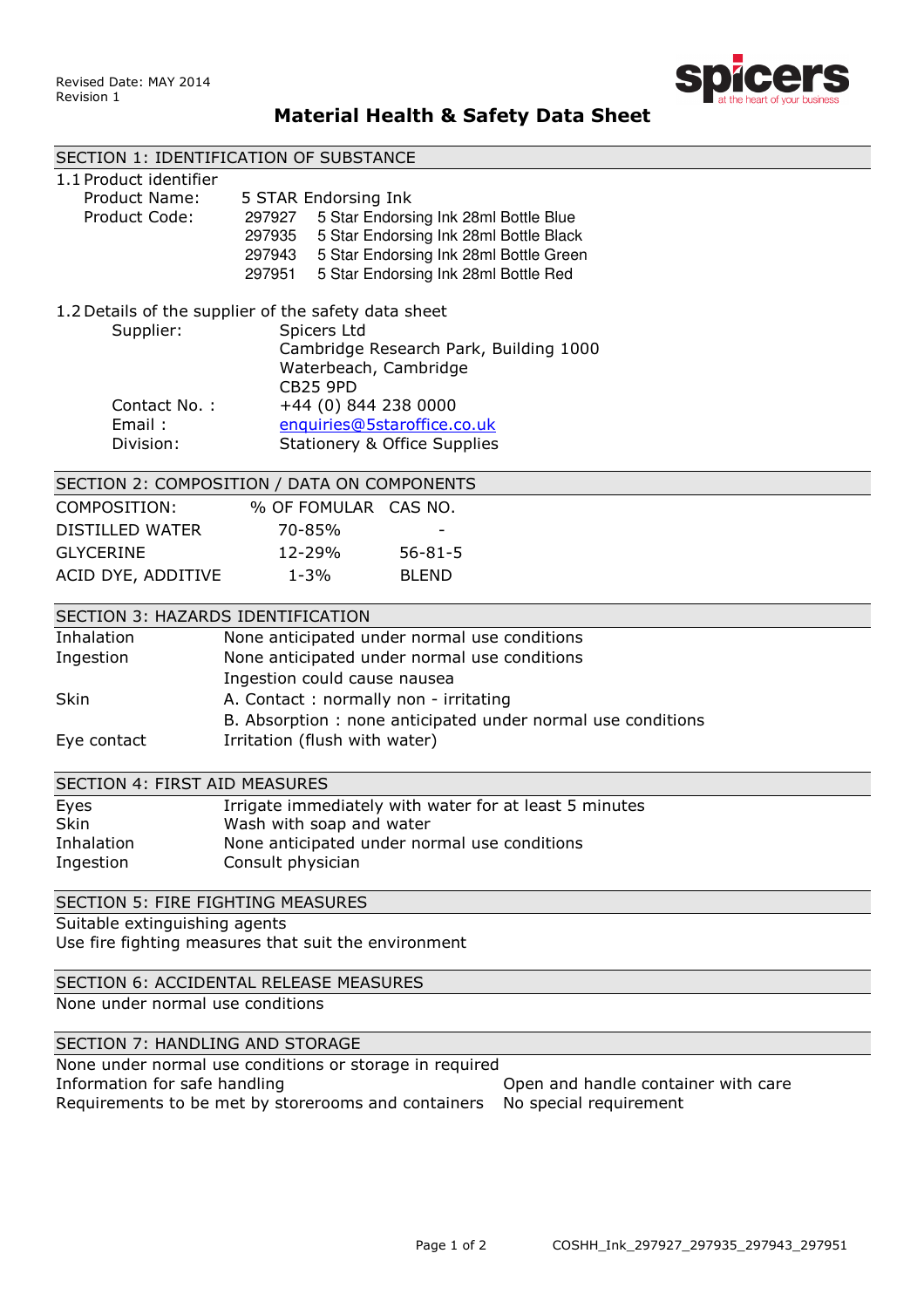

# Material Health & Safety Data Sheet

|                                                                               | SECTION 1: IDENTIFICATION OF SUBSTANCE                       |  |
|-------------------------------------------------------------------------------|--------------------------------------------------------------|--|
| 1.1 Product identifier                                                        |                                                              |  |
| Product Name:                                                                 | 5 STAR Endorsing Ink                                         |  |
| Product Code:                                                                 | 5 Star Endorsing Ink 28ml Bottle Blue<br>297927              |  |
|                                                                               | 5 Star Endorsing Ink 28ml Bottle Black<br>297935             |  |
|                                                                               | 5 Star Endorsing Ink 28ml Bottle Green<br>297943             |  |
|                                                                               | 5 Star Endorsing Ink 28ml Bottle Red<br>297951               |  |
| 1.2 Details of the supplier of the safety data sheet                          |                                                              |  |
| Supplier:                                                                     | Spicers Ltd                                                  |  |
|                                                                               | Cambridge Research Park, Building 1000                       |  |
|                                                                               | Waterbeach, Cambridge                                        |  |
|                                                                               | <b>CB25 9PD</b>                                              |  |
| Contact No.:                                                                  | +44 (0) 844 238 0000                                         |  |
| Email:                                                                        | enquiries@5staroffice.co.uk                                  |  |
| Division:                                                                     | <b>Stationery &amp; Office Supplies</b>                      |  |
| SECTION 2: COMPOSITION / DATA ON COMPONENTS                                   |                                                              |  |
| COMPOSITION:                                                                  | % OF FOMULAR CAS NO.                                         |  |
| <b>DISTILLED WATER</b>                                                        | 70-85%                                                       |  |
| <b>GLYCERINE</b>                                                              | 12-29%<br>$56 - 81 - 5$                                      |  |
| ACID DYE, ADDITIVE                                                            | $1 - 3%$<br><b>BLEND</b>                                     |  |
|                                                                               |                                                              |  |
| SECTION 3: HAZARDS IDENTIFICATION                                             |                                                              |  |
| Inhalation                                                                    | None anticipated under normal use conditions                 |  |
| Ingestion                                                                     | None anticipated under normal use conditions                 |  |
|                                                                               | Ingestion could cause nausea                                 |  |
| Skin                                                                          | A. Contact: normally non - irritating                        |  |
|                                                                               | B. Absorption : none anticipated under normal use conditions |  |
| Eye contact                                                                   | Irritation (flush with water)                                |  |
| <b>SECTION 4: FIRST AID MEASURES</b>                                          |                                                              |  |
| Eyes                                                                          | Irrigate immediately with water for at least 5 minutes       |  |
| Skin                                                                          | Wash with soap and water                                     |  |
| Inhalation                                                                    | None anticipated under normal use conditions                 |  |
| Ingestion                                                                     | Consult physician                                            |  |
| <b>SECTION 5: FIRE FIGHTING MEASURES</b>                                      |                                                              |  |
| Suitable extinguishing agents                                                 |                                                              |  |
| Use fire fighting measures that suit the environment                          |                                                              |  |
|                                                                               |                                                              |  |
| SECTION 6: ACCIDENTAL RELEASE MEASURES                                        |                                                              |  |
| None under normal use conditions                                              |                                                              |  |
| SECTION 7: HANDLING AND STORAGE                                               |                                                              |  |
| None under normal use conditions or storage in required                       |                                                              |  |
| Information for safe handling<br>Open and handle container with care          |                                                              |  |
| Requirements to be met by storerooms and containers<br>No special requirement |                                                              |  |